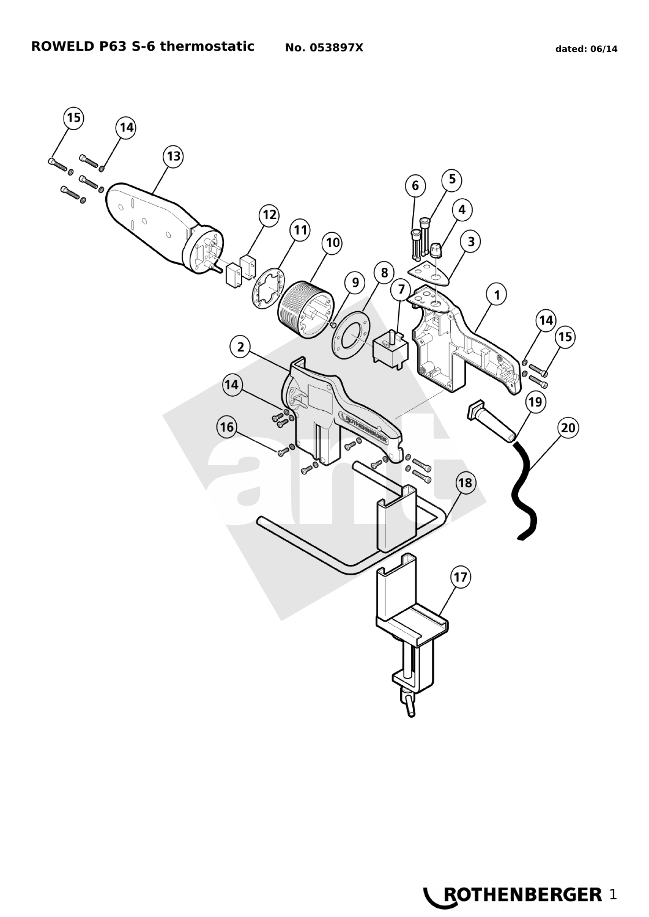

**LEOTHENBERGER 1**